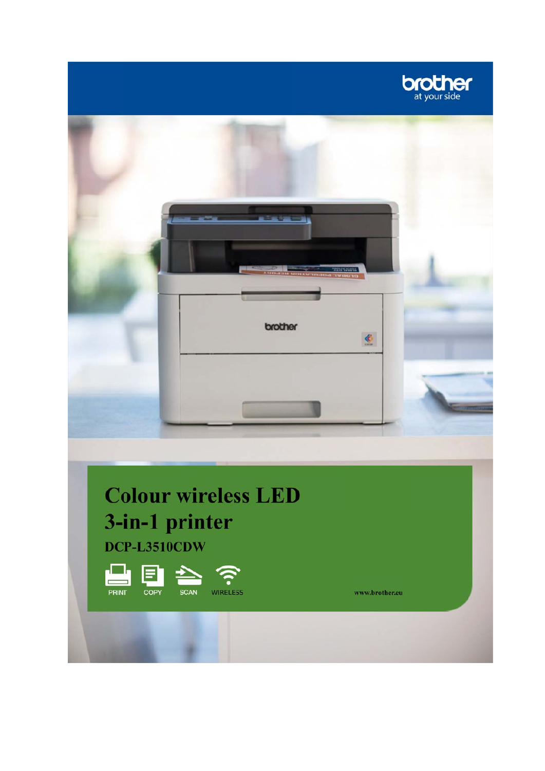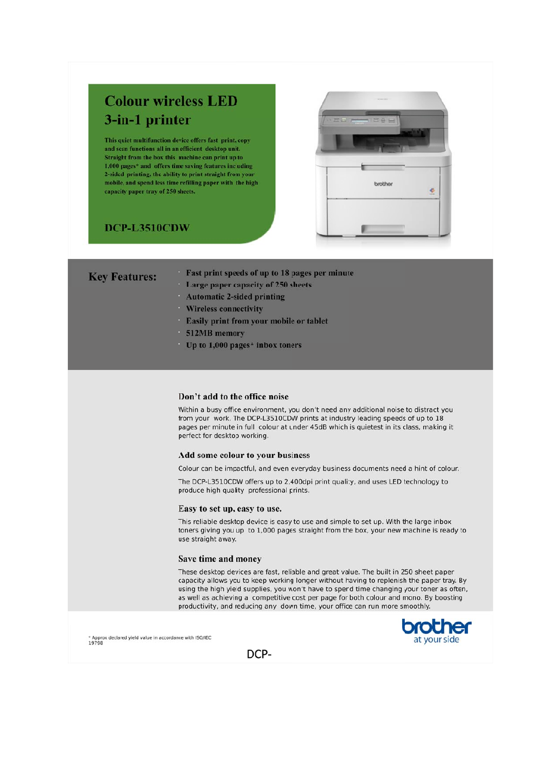# **Colour wireless LED** 3-in-1 printer

This quiet multifunction device offers fast print, copy and scan functions all in an efficient desktop unit. Straight from the box this machine can print up to 1,000 pages\* and offers time saving features including 2-sided printing, the ability to print straight from yo mobile, and spend less time refilling paper with the high capacity paper tray of 250 sheets.

## DCP-L3510CDW



| <b>Key Features:</b> |  |  |  |
|----------------------|--|--|--|
|                      |  |  |  |

- Fast print speeds of up to 18 pages per minute
- Large paper capacity of 250 sheets
- **Automatic 2-sided printing**
- **Wireless connectivity**
- **Easily print from your mobile or tablet**
- 512MB memory
- Up to  $1,000$  pages\* inbox toners

### Don't add to the office noise

Within a busy office environment, you don't need any additional noise to distract you from your work. The DCP-L3510CDW prints at industry leading speeds of up to 18 pages per minute in full colour at under 45dB which is quietest in its class, making it perfect for desktop working.

#### Add some colour to your business

Colour can be impactful, and even everyday business documents need a hint of colour.

The DCP-L3510CDW offers up to 2,400dpi print quality, and uses LED technology to produce high quality professional prints.

#### Easy to set up, easy to use.

This reliable desktop device is easy to use and simple to set up. With the large inbox toners giving you up to 1,000 pages straight from the box, your new machine is ready to use straight away.

#### Save time and money

These desktop devices are fast, reliable and great value. The built in 250 sheet paper capacity allows you to keep working longer without having to replenish the paper tray. By using the high yield supplies, you won't have to spend time changing your toner as often, as well as achieving a competitive cost per page for both colour and mono. By boosting productivity, and reducing any down time, your office can run more smoothly.



\* Approx declared yield value in accordance with ISO/IEC<br>19798

DCP-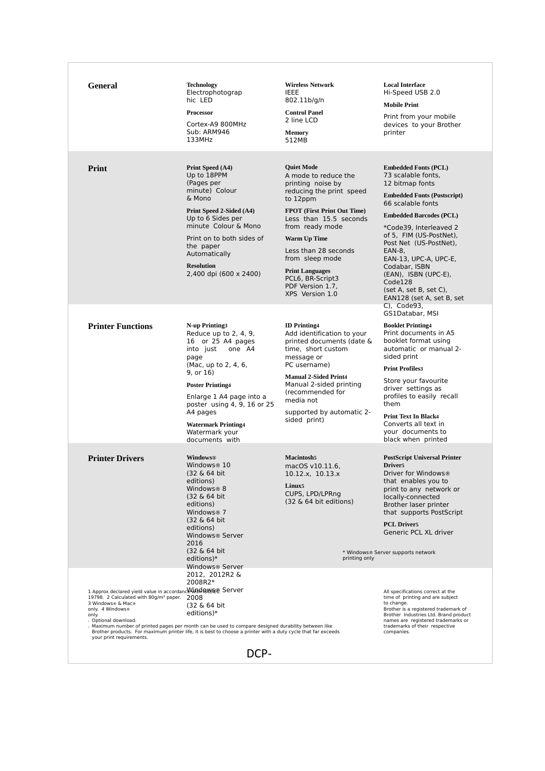| General                                                                                                                                                                                                                   | <b>Technology</b><br>Electrophotograp<br>hic LED<br>Processor<br>Cortex-A9 800MHz<br>Sub: ARM946<br>133MHz                                                                                                                                                                                                   | <b>Wireless Network</b><br><b>IEEE</b><br>802.11b/g/n<br><b>Control Panel</b><br>2 line LCD<br>Memory<br>512MB                                                                                                                                                                                                                                   | <b>Local Interface</b><br>Hi-Speed USB 2.0<br><b>Mobile Print</b><br>Print from your mobile<br>devices to your Brother<br>printer                                                                                                                                                                                                                                                              |
|---------------------------------------------------------------------------------------------------------------------------------------------------------------------------------------------------------------------------|--------------------------------------------------------------------------------------------------------------------------------------------------------------------------------------------------------------------------------------------------------------------------------------------------------------|--------------------------------------------------------------------------------------------------------------------------------------------------------------------------------------------------------------------------------------------------------------------------------------------------------------------------------------------------|------------------------------------------------------------------------------------------------------------------------------------------------------------------------------------------------------------------------------------------------------------------------------------------------------------------------------------------------------------------------------------------------|
| Print                                                                                                                                                                                                                     | Print Speed (A4)<br>Up to 18PPM<br>(Pages per<br>minute) Colour<br>& Mono<br>Print Speed 2-Sided (A4)<br>Up to 6 Sides per<br>minute Colour & Mono<br>Print on to both sides of<br>the paper<br>Automatically<br><b>Resolution</b><br>2,400 dpi (600 x 2400)                                                 | <b>Quiet Mode</b><br>A mode to reduce the<br>printing noise by<br>reducing the print speed<br>to 12ppm<br><b>FPOT</b> (First Print Out Time)<br>Less than 15.5 seconds<br>from ready mode<br><b>Warm Up Time</b><br>Less than 28 seconds<br>from sleep mode<br><b>Print Languages</b><br>PCL6, BR-Script3<br>PDF Version 1.7,<br>XPS Version 1.0 | <b>Embedded Fonts (PCL)</b><br>73 scalable fonts,<br>12 bitmap fonts<br><b>Embedded Fonts (Postscript)</b><br>66 scalable fonts<br><b>Embedded Barcodes (PCL)</b><br>*Code39, Interleaved 2<br>of 5, FIM (US-PostNet),<br>Post Net (US-PostNet),<br>EAN-8,<br>EAN-13, UPC-A, UPC-E,<br>Codabar, ISBN<br>(EAN), ISBN (UPC-E),<br>Code128<br>(set A, set B, set C),<br>EAN128 (set A, set B, set |
| <b>Printer Functions</b>                                                                                                                                                                                                  | N-up Printing3<br>Reduce up to $2, 4, 9$ ,<br>16 or 25 A4 pages<br>into just<br>one A4<br>page<br>(Mac, up to 2, 4, 6,<br>9, or 16)<br><b>Poster Printing4</b><br>Enlarge 1 A4 page into a<br>poster using 4, 9, 16 or 25<br>A4 pages<br><b>Watermark Printing4</b><br>Watermark your<br>documents with      | <b>ID</b> Printing4<br>Add identification to your<br>printed documents (date &<br>time, short custom<br>message or<br>PC username)<br><b>Manual 2-Sided Print4</b><br>Manual 2-sided printing<br>(recommended for<br>media not<br>supported by automatic 2-<br>sided print)                                                                      | C), Code93,<br>GS1Databar, MSI<br><b>Booklet Printing4</b><br>Print documents in A5<br>booklet format using<br>automatic or manual 2-<br>sided print<br><b>Print Profiles3</b><br>Store your favourite<br>driver settings as<br>profiles to easily recall<br>them<br><b>Print Text In Black4</b><br>Converts all text in<br>your documents to<br>black when printed                            |
| <b>Printer Drivers</b>                                                                                                                                                                                                    | <b>Windows®</b><br>Windows <sup>®</sup> 10<br>(32 & 64 bit)<br>editions)<br>Windows® 8<br>(32 & 64 bit)<br>editions)<br>Windows <sup>®</sup> 7<br>(32 & 64 bit)<br>editions)<br>Windows <sup>®</sup> Server<br>2016<br>(32 & 64 bit)<br>editions) $*$                                                        | <b>Macintosh5</b><br>macOS v10.11.6,<br>10.12.x, 10.13.x<br>Linux <sub>5</sub><br>CUPS, LPD/LPRng<br>(32 & 64 bit editions)<br>printing only                                                                                                                                                                                                     | <b>PostScript Universal Printer</b><br>Driver <sub>5</sub><br>Driver for Windows®<br>that enables you to<br>print to any network or<br>locally-connected<br>Brother laser printer<br>that supports PostScript<br><b>PCL Driver5</b><br>Generic PCL XL driver<br>* Windows® Server supports network                                                                                             |
| 1 Approx declared yield value in accordance Wind BWAE® Server<br>19798. 2 Calculated with 80g/m <sup>2</sup> paper.<br>3 Windows® & Mac®<br>only. 4 Windows®<br>only.<br>s Optional download.<br>your print requirements. | Windows® Server<br>2012, 2012R2 &<br>2008R2*<br>2008<br>(32 & 64 bit)<br>editions $)*$<br>Maximum number of printed pages per month can be used to compare designed durability between like<br>Brother products. For maximum printer life, it is best to choose a printer with a duty cycle that far exceeds |                                                                                                                                                                                                                                                                                                                                                  | All specifications correct at the<br>time of printing and are subject<br>to change.<br>Brother is a registered trademark of<br>Brother Industries Ltd. Brand product<br>names are registered trademarks or<br>trademarks of their respective<br>companies.                                                                                                                                     |

DCP‐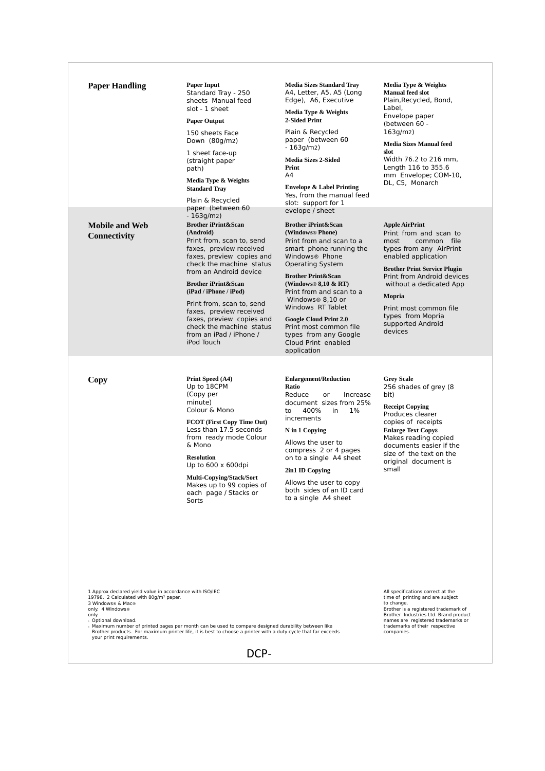| 1 Approx declared yield value in accordance with ISO/IEC<br>19798. 2 Calculated with 80g/m <sup>2</sup> paper.<br>3 Windows® & Mac®<br>only. 4 Windows®<br>only.<br>s Optional download.<br>your print requirements. | Maximum number of printed pages per month can be used to compare designed durability between like<br>Brother products. For maximum printer life, it is best to choose a printer with a duty cycle that far exceeds<br>DCP-                                                                                                                                                                                                                                           |                                                                                                                                                                                                                                                                                                                                                                                                                                                                          | All specifications correct at the<br>time of printing and are subject<br>to change.<br>Brother is a registered trademark of<br>Brother Industries Ltd. Brand product<br>names are registered trademarks or<br>trademarks of their respective<br>companies.                                                        |
|----------------------------------------------------------------------------------------------------------------------------------------------------------------------------------------------------------------------|----------------------------------------------------------------------------------------------------------------------------------------------------------------------------------------------------------------------------------------------------------------------------------------------------------------------------------------------------------------------------------------------------------------------------------------------------------------------|--------------------------------------------------------------------------------------------------------------------------------------------------------------------------------------------------------------------------------------------------------------------------------------------------------------------------------------------------------------------------------------------------------------------------------------------------------------------------|-------------------------------------------------------------------------------------------------------------------------------------------------------------------------------------------------------------------------------------------------------------------------------------------------------------------|
| Copy                                                                                                                                                                                                                 | Print Speed (A4)<br>Up to 18CPM<br>(Copy per<br>minute)<br>Colour & Mono<br><b>FCOT</b> (First Copy Time Out)<br>Less than 17.5 seconds<br>from ready mode Colour<br>& Mono<br><b>Resolution</b><br>Up to $600 \times 600$ dpi<br><b>Multi-Copying/Stack/Sort</b><br>Makes up to 99 copies of<br>each page / Stacks or<br>Sorts                                                                                                                                      | <b>Enlargement/Reduction</b><br>Ratio<br>Reduce<br>or<br>Increase<br>document sizes from 25%<br>400%<br>in<br>1%<br>to<br>increments<br>N in 1 Copying<br>Allows the user to<br>compress 2 or 4 pages<br>on to a single A4 sheet<br>2in1 ID Copying<br>Allows the user to copy<br>both sides of an ID card<br>to a single A4 sheet                                                                                                                                       | <b>Grey Scale</b><br>256 shades of grey (8)<br>bit)<br><b>Receipt Copying</b><br>Produces clearer<br>copies of receipts<br><b>Enlarge Text Copy8</b><br>Makes reading copied<br>documents easier if the<br>size of the text on the<br>original document is<br>small                                               |
| <b>Mobile and Web</b><br>Connectivity                                                                                                                                                                                | Plain & Recycled<br>paper (between 60<br>$-163g/m2)$<br><b>Brother iPrint&amp;Scan</b><br>(Android)<br>Print from, scan to, send<br>faxes, preview received<br>faxes, preview copies and<br>check the machine status<br>from an Android device<br><b>Brother iPrint&amp;Scan</b><br>(iPad / iPhone / iPod)<br>Print from, scan to, send<br>faxes, preview received<br>faxes, preview copies and<br>check the machine status<br>from an iPad / iPhone /<br>iPod Touch | slot: support for 1<br>evelope / sheet<br><b>Brother iPrint&amp;Scan</b><br>(Windows® Phone)<br>Print from and scan to a<br>smart phone running the<br>Windows <sup>®</sup> Phone<br><b>Operating System</b><br><b>Brother Print&amp;Scan</b><br>(Windows® $8,10 \& RT$ )<br>Print from and scan to a<br>Windows® 8,10 or<br>Windows RT Tablet<br><b>Google Cloud Print 2.0</b><br>Print most common file<br>types from any Google<br>Cloud Print enabled<br>application | <b>Apple AirPrint</b><br>Print from and scan to<br>common file<br>most<br>types from any AirPrint<br>enabled application<br><b>Brother Print Service Plugin</b><br>Print from Android devices<br>without a dedicated App<br>Mopria<br>Print most common file<br>types from Mopria<br>supported Android<br>devices |
| <b>Paper Handling</b>                                                                                                                                                                                                | <b>Paper Input</b><br>Standard Tray - 250<br>sheets Manual feed<br>slot - 1 sheet<br><b>Paper Output</b><br>150 sheets Face<br>Down $(80q/m2)$<br>1 sheet face-up<br>(straight paper<br>path)<br>Media Type & Weights<br><b>Standard Tray</b>                                                                                                                                                                                                                        | <b>Media Sizes Standard Trav</b><br>A4, Letter, A5, A5 (Long<br>Edge), A6, Executive<br>Media Type & Weights<br>2-Sided Print<br>Plain & Recycled<br>paper (between 60<br>$-163q/m2)$<br><b>Media Sizes 2-Sided</b><br>Print<br>A4<br><b>Envelope &amp; Label Printing</b><br>Yes, from the manual feed                                                                                                                                                                  | Media Type & Weights<br><b>Manual feed slot</b><br>Plain, Recycled, Bond,<br>Label,<br>Envelope paper<br>(between 60 -<br>163g/m2)<br><b>Media Sizes Manual feed</b><br>slot<br>Width 76.2 to 216 mm,<br>Length 116 to 355.6<br>mm Envelope; COM-10,<br>DL, C5, Monarch                                           |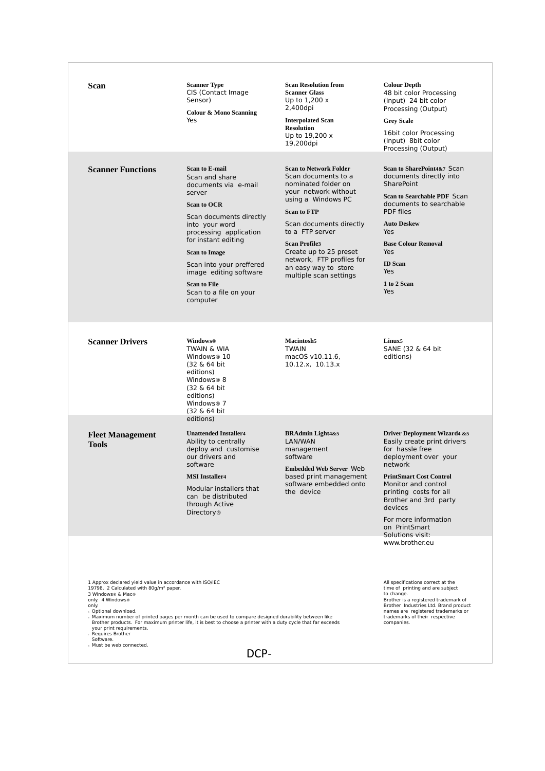| Scan                                                                                                                                                                                                                                                                                                                                                                                                                                                                                                                                                                                                                                                                                                                                                                                            | <b>Scanner Type</b><br>CIS (Contact Image<br>Sensor)<br><b>Colour &amp; Mono Scanning</b><br>Yes                                                                                                                                                                                                                                         | <b>Scan Resolution from</b><br><b>Scanner Glass</b><br>Up to $1,200x$<br>2,400dpi<br><b>Interpolated Scan</b><br><b>Resolution</b><br>Up to 19,200 x<br>19,200dpi                                                                                                                                                              | <b>Colour Depth</b><br>48 bit color Processing<br>(Input) 24 bit color<br>Processing (Output)<br><b>Grey Scale</b><br>16bit color Processing<br>(Input) 8bit color<br>Processing (Output)                                                                                                                        |  |
|-------------------------------------------------------------------------------------------------------------------------------------------------------------------------------------------------------------------------------------------------------------------------------------------------------------------------------------------------------------------------------------------------------------------------------------------------------------------------------------------------------------------------------------------------------------------------------------------------------------------------------------------------------------------------------------------------------------------------------------------------------------------------------------------------|------------------------------------------------------------------------------------------------------------------------------------------------------------------------------------------------------------------------------------------------------------------------------------------------------------------------------------------|--------------------------------------------------------------------------------------------------------------------------------------------------------------------------------------------------------------------------------------------------------------------------------------------------------------------------------|------------------------------------------------------------------------------------------------------------------------------------------------------------------------------------------------------------------------------------------------------------------------------------------------------------------|--|
| <b>Scanner Functions</b>                                                                                                                                                                                                                                                                                                                                                                                                                                                                                                                                                                                                                                                                                                                                                                        | <b>Scan to E-mail</b><br>Scan and share<br>documents via e-mail<br>server<br><b>Scan to OCR</b><br>Scan documents directly<br>into your word<br>processing application<br>for instant editing<br><b>Scan to Image</b><br>Scan into your preffered<br>image editing software<br><b>Scan to File</b><br>Scan to a file on your<br>computer | <b>Scan to Network Folder</b><br>Scan documents to a<br>nominated folder on<br>your network without<br>using a Windows PC<br><b>Scan to FTP</b><br>Scan documents directly<br>to a FTP server<br><b>Scan Profile3</b><br>Create up to 25 preset<br>network, FTP profiles for<br>an easy way to store<br>multiple scan settings | Scan to SharePoint4&7 Scan<br>documents directly into<br><b>SharePoint</b><br><b>Scan to Searchable PDF Scan</b><br>documents to searchable<br><b>PDF</b> files<br><b>Auto Deskew</b><br>Yes<br><b>Base Colour Removal</b><br>Yes<br><b>ID</b> Scan<br>Yes<br>1 to 2 Scan<br>Yes                                 |  |
| <b>Scanner Drivers</b>                                                                                                                                                                                                                                                                                                                                                                                                                                                                                                                                                                                                                                                                                                                                                                          | Windows®<br><b>TWAIN &amp; WIA</b><br>Windows <sup>®</sup> 10<br>(32 & 64 bit)<br>editions)<br>Windows <sup>®</sup> 8<br>(32 & 64 bit)<br>editions)<br>Windows <sup>®</sup> 7<br>(32 & 64 bit)                                                                                                                                           | <b>Macintosh5</b><br><b>TWAIN</b><br>macOS v10.11.6,<br>10.12.x, 10.13.x                                                                                                                                                                                                                                                       | Linux <sub>5</sub><br>SANE (32 & 64 bit)<br>editions)                                                                                                                                                                                                                                                            |  |
| <b>Fleet Management</b><br><b>Tools</b>                                                                                                                                                                                                                                                                                                                                                                                                                                                                                                                                                                                                                                                                                                                                                         | editions)<br><b>Unattended Installer4</b><br>Ability to centrally<br>deploy and customise<br>our drivers and<br>software<br><b>MSI</b> Installer4<br>Modular installers that<br>can be distributed<br>through Active<br><b>Directory</b> <sup>®</sup>                                                                                    | <b>BRAdmin Light4&amp;5</b><br>LAN/WAN<br>management<br>software<br><b>Embedded Web Server Web</b><br>based print management<br>software embedded onto<br>the device                                                                                                                                                           | <b>Driver Deployment Wizard4 &amp;5</b><br>Easily create print drivers<br>for hassle free<br>deployment over your<br>network<br><b>PrintSmart Cost Control</b><br>Monitor and control<br>printing costs for all<br>Brother and 3rd party<br>devices<br>For more information<br>on PrintSmart<br>Solutions visit: |  |
| www.brother.eu<br>1 Approx declared yield value in accordance with ISO/IEC<br>All specifications correct at the<br>19798. 2 Calculated with 80g/m <sup>2</sup> paper.<br>time of printing and are subject<br>to change.<br>3 Windows® & Mac®<br>only. 4 Windows®<br>Brother is a registered trademark of<br>Brother Industries Ltd. Brand product<br>only.<br>names are registered trademarks or<br>s Optional download.<br>trademarks of their respective<br>Maximum number of printed pages per month can be used to compare designed durability between like<br>Brother products. For maximum printer life, it is best to choose a printer with a duty cycle that far exceeds<br>companies.<br>your print requirements.<br>Requires Brother<br>Software.<br>» Must be web connected.<br>DCP- |                                                                                                                                                                                                                                                                                                                                          |                                                                                                                                                                                                                                                                                                                                |                                                                                                                                                                                                                                                                                                                  |  |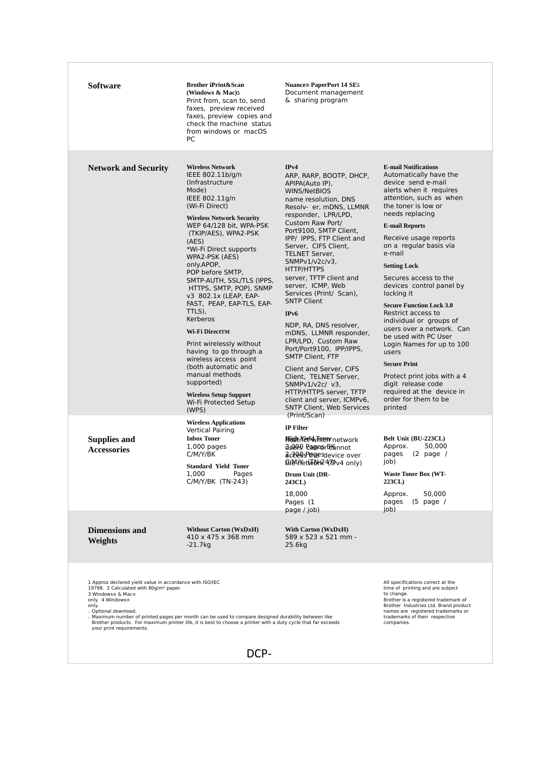| Software                                                                                                                                                                                                             | <b>Brother iPrint&amp;Scan</b><br>(Windows & Mac)5<br>Print from, scan to, send<br>faxes, preview received<br>faxes, preview copies and<br>check the machine status<br>from windows or macOS<br>PC                                                                                                                                                                                                                                                                                                                                                                                                                                                        | <b>Nuance® PaperPort 14 SE5</b><br>Document management<br>& sharing program                                                                                                                                                                                                                                                                                                                                                                                                                                                                                                                                                                                                                                                 |                                                                                                                                                                                                                                                                                                                                                                                                                                                                                                                                                                                                                                                                                        |
|----------------------------------------------------------------------------------------------------------------------------------------------------------------------------------------------------------------------|-----------------------------------------------------------------------------------------------------------------------------------------------------------------------------------------------------------------------------------------------------------------------------------------------------------------------------------------------------------------------------------------------------------------------------------------------------------------------------------------------------------------------------------------------------------------------------------------------------------------------------------------------------------|-----------------------------------------------------------------------------------------------------------------------------------------------------------------------------------------------------------------------------------------------------------------------------------------------------------------------------------------------------------------------------------------------------------------------------------------------------------------------------------------------------------------------------------------------------------------------------------------------------------------------------------------------------------------------------------------------------------------------------|----------------------------------------------------------------------------------------------------------------------------------------------------------------------------------------------------------------------------------------------------------------------------------------------------------------------------------------------------------------------------------------------------------------------------------------------------------------------------------------------------------------------------------------------------------------------------------------------------------------------------------------------------------------------------------------|
| <b>Network and Security</b>                                                                                                                                                                                          | <b>Wireless Network</b><br>IEEE 802.11b/g/n<br>(Infrastructure)<br>Mode)<br>IEEE 802.11g/n<br>(Wi-Fi Direct)<br><b>Wireless Network Security</b><br>WEP 64/128 bit, WPA-PSK<br>(TKIP/AES), WPA2-PSK<br>(AES)<br>*Wi-Fi Direct supports<br>WPA2-PSK (AES)<br>only.APOP,<br>POP before SMTP,<br>SMTP-AUTH, SSL/TLS (IPPS,<br>HTTPS, SMTP, POP), SNMP<br>v3 802.1x (LEAP, EAP-<br>FAST, PEAP, EAP-TLS, EAP-<br>TTLS).<br>Kerberos<br>Wi-Fi DirectTM<br>Print wirelessly without<br>having to go through a<br>wireless access point<br>(both automatic and<br>manual methods<br>supported)<br><b>Wireless Setup Support</b><br>Wi-Fi Protected Setup<br>(WPS) | IPv4<br>ARP, RARP, BOOTP, DHCP,<br>APIPA(Auto IP).<br>WINS/NetBIOS<br>name resolution, DNS<br>Resolv- er, mDNS, LLMNR<br>responder, LPR/LPD,<br>Custom Raw Port/<br>Port9100, SMTP Client,<br>IPP/ IPPS, FTP Client and<br>Server, CIFS Client,<br><b>TELNET Server,</b><br>SNMPv1/v2c/v3.<br><b>HTTP/HTTPS</b><br>server, TFTP client and<br>server, ICMP, Web<br>Services (Print/ Scan),<br><b>SNTP Client</b><br>IPv6<br>NDP, RA, DNS resolver,<br>mDNS, LLMNR responder,<br>LPR/LPD, Custom Raw<br>Port/Port9100, IPP/IPPS,<br><b>SMTP Client, FTP</b><br>Client and Server, CIFS<br>Client, TELNET Server,<br>$SNMPv1/v2c/ v3$ ,<br>HTTP/HTTPS server, TFTP<br>client and server, ICMPv6,<br>SNTP Client, Web Services | <b>E-mail Notifications</b><br>Automatically have the<br>device send e-mail<br>alerts when it requires<br>attention, such as when<br>the toner is low or<br>needs replacing<br><b>E-mail Reports</b><br>Receive usage reports<br>on a regular basis via<br>e-mail<br><b>Setting Lock</b><br>Secures access to the<br>devices control panel by<br>locking it<br><b>Secure Function Lock 3.0</b><br>Restrict access to<br>individual or groups of<br>users over a network. Can<br>be used with PC User<br>Login Names for up to 100<br>users<br><b>Secure Print</b><br>Protect print jobs with a 4<br>digit release code<br>required at the device in<br>order for them to be<br>printed |
| <b>Supplies and</b><br><b>Accessories</b>                                                                                                                                                                            | <b>Wireless Applications</b><br>Vertical Pairing<br><b>Inbox Toner</b><br>$1,000$ pages<br>C/M/Y/BK<br><b>Standard Yield Toner</b><br>1,000<br>Pages<br>C/M/Y/BK (TN-243)                                                                                                                                                                                                                                                                                                                                                                                                                                                                                 | (Print/Scan)<br><b>IP Filter</b><br><b>Hisst NieldyFright network</b><br>dseve PagesrBtannot<br><u>දියැලිලිපිලිගිපි</u> පිල්evice over<br>EntenNettwork24(The v4 only)<br>Drum Unit (DR-<br>243CL)<br>18,000<br>Pages (1                                                                                                                                                                                                                                                                                                                                                                                                                                                                                                    | Belt Unit (BU-223CL)<br>Approx.<br>50.000<br>$(2 \text{ page }$<br>pages<br>job)<br><b>Waste Toner Box (WT-</b><br>223CL)<br>50,000<br>Approx.<br>$(5$ page /<br>pages                                                                                                                                                                                                                                                                                                                                                                                                                                                                                                                 |
| <b>Dimensions and</b><br>Weights                                                                                                                                                                                     | <b>Without Carton (WxDxH)</b><br>410 x 475 x 368 mm<br>$-21.7kg$                                                                                                                                                                                                                                                                                                                                                                                                                                                                                                                                                                                          | page / job)<br><b>With Carton (WxDxH)</b><br>589 x 523 x 521 mm -<br>25.6kg                                                                                                                                                                                                                                                                                                                                                                                                                                                                                                                                                                                                                                                 | job)                                                                                                                                                                                                                                                                                                                                                                                                                                                                                                                                                                                                                                                                                   |
| 1 Approx declared yield value in accordance with ISO/IEC<br>19798. 2 Calculated with 80g/m <sup>2</sup> paper.<br>3 Windows® & Mac®<br>only. 4 Windows®<br>only.<br>s Optional download.<br>your print requirements. | Maximum number of printed pages per month can be used to compare designed durability between like<br>Brother products. For maximum printer life, it is best to choose a printer with a duty cycle that far exceeds                                                                                                                                                                                                                                                                                                                                                                                                                                        |                                                                                                                                                                                                                                                                                                                                                                                                                                                                                                                                                                                                                                                                                                                             | All specifications correct at the<br>time of printing and are subject<br>to change.<br>Brother is a registered trademark of<br>Brother Industries Ltd. Brand product<br>names are registered trademarks or<br>trademarks of their respective<br>companies.                                                                                                                                                                                                                                                                                                                                                                                                                             |

DCP‐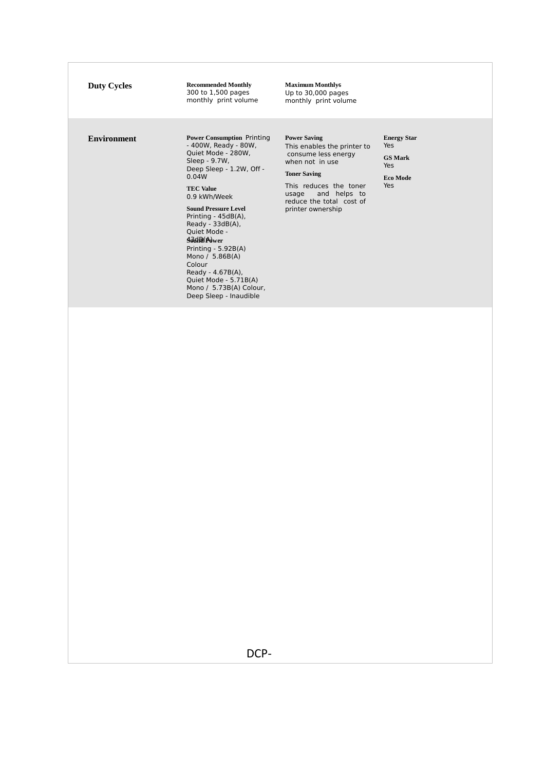| <b>Duty Cycles</b> | <b>Recommended Monthly</b><br>300 to 1,500 pages<br>monthly print volume                                                                                                                                                                                                                                                                                                                                                                               | <b>Maximum Monthly6</b><br>Up to 30,000 pages<br>monthly print volume                                                                                                                                                   |                                                                              |
|--------------------|--------------------------------------------------------------------------------------------------------------------------------------------------------------------------------------------------------------------------------------------------------------------------------------------------------------------------------------------------------------------------------------------------------------------------------------------------------|-------------------------------------------------------------------------------------------------------------------------------------------------------------------------------------------------------------------------|------------------------------------------------------------------------------|
| <b>Environment</b> | <b>Power Consumption Printing</b><br>- 400W, Ready - 80W,<br>Quiet Mode - 280W,<br>Sleep - 9.7W,<br>Deep Sleep - 1.2W, Off -<br>0.04W<br><b>TEC Value</b><br>0.9 kWh/Week<br><b>Sound Pressure Level</b><br>Printing - 45dB(A),<br>Ready - $33dB(A)$ ,<br>Ouiet Mode -<br><b>AddR</b> (Power<br>Printing - 5.92B(A)<br>Mono / 5.86B(A)<br>Colour<br>Ready - $4.67B(A)$ ,<br>Quiet Mode - 5.71B(A)<br>Mono / 5.73B(A) Colour,<br>Deep Sleep - Inaudible | <b>Power Saving</b><br>This enables the printer to<br>consume less energy<br>when not in use<br><b>Toner Saving</b><br>This reduces the toner<br>and helps to<br>usage<br>reduce the total cost of<br>printer ownership | <b>Energy Star</b><br>Yes<br><b>GS Mark</b><br>Yes<br><b>Eco Mode</b><br>Yes |